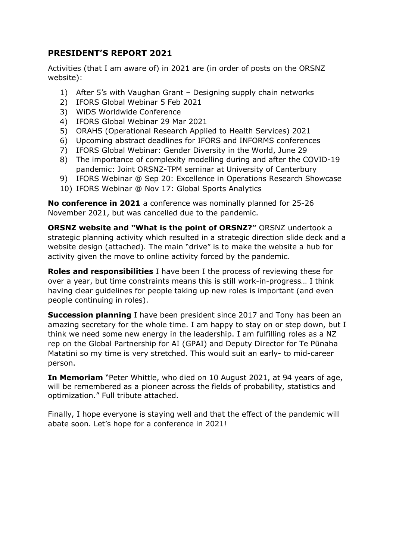## **PRESIDENT'S REPORT 2021**

Activities (that I am aware of) in 2021 are (in order of posts on the ORSNZ website):

- 1) After 5's with Vaughan Grant Designing supply chain networks
- 2) IFORS Global Webinar 5 Feb 2021
- 3) WiDS Worldwide Conference
- 4) IFORS Global Webinar 29 Mar 2021
- 5) ORAHS (Operational Research Applied to Health Services) 2021
- 6) Upcoming abstract deadlines for IFORS and INFORMS conferences
- 7) IFORS Global Webinar: Gender Diversity in the World, June 29
- 8) The importance of complexity modelling during and after the COVID-19 pandemic: Joint ORSNZ-TPM seminar at University of Canterbury
- 9) IFORS Webinar @ Sep 20: Excellence in Operations Research Showcase
- 10) IFORS Webinar @ Nov 17: Global Sports Analytics

**No conference in 2021** a conference was nominally planned for 25-26 November 2021, but was cancelled due to the pandemic.

**ORSNZ website and "What is the point of ORSNZ?"** ORSNZ undertook a strategic planning activity which resulted in a strategic direction slide deck and a website design (attached). The main "drive" is to make the website a hub for activity given the move to online activity forced by the pandemic.

**Roles and responsibilities** I have been I the process of reviewing these for over a year, but time constraints means this is still work-in-progress… I think having clear guidelines for people taking up new roles is important (and even people continuing in roles).

**Succession planning** I have been president since 2017 and Tony has been an amazing secretary for the whole time. I am happy to stay on or step down, but I think we need some new energy in the leadership. I am fulfilling roles as a NZ rep on the Global Partnership for AI (GPAI) and Deputy Director for Te Pūnaha Matatini so my time is very stretched. This would suit an early- to mid-career person.

**In Memoriam** "Peter Whittle, who died on 10 August 2021, at 94 years of age, will be remembered as a pioneer across the fields of probability, statistics and optimization." Full tribute attached.

Finally, I hope everyone is staying well and that the effect of the pandemic will abate soon. Let's hope for a conference in 2021!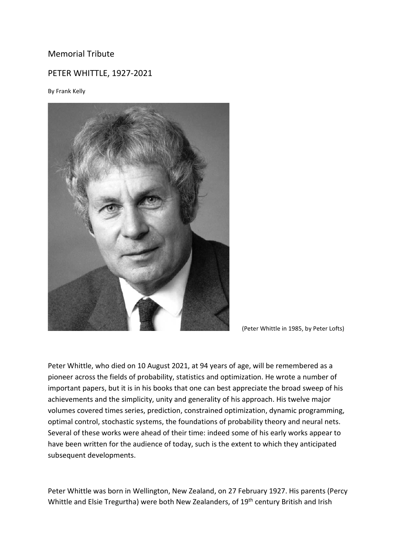## Memorial Tribute

## PETER WHITTLE, 1927-2021

By Frank Kelly



(Peter Whittle in 1985, by Peter Lofts)

Peter Whittle, who died on 10 August 2021, at 94 years of age, will be remembered as a pioneer across the fields of probability, statistics and optimization. He wrote a number of important papers, but it is in his books that one can best appreciate the broad sweep of his achievements and the simplicity, unity and generality of his approach. His twelve major volumes covered times series, prediction, constrained optimization, dynamic programming, optimal control, stochastic systems, the foundations of probability theory and neural nets. Several of these works were ahead of their time: indeed some of his early works appear to have been written for the audience of today, such is the extent to which they anticipated subsequent developments.

Peter Whittle was born in Wellington, New Zealand, on 27 February 1927. His parents (Percy Whittle and Elsie Tregurtha) were both New Zealanders, of 19<sup>th</sup> century British and Irish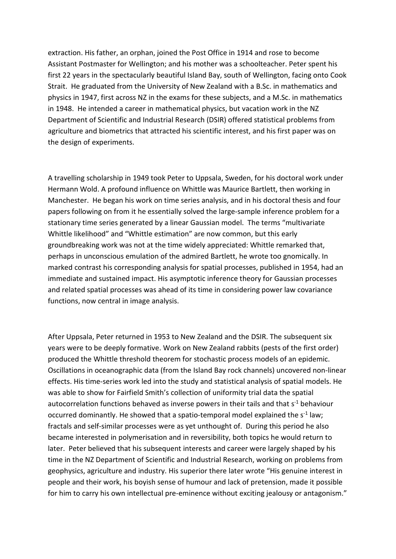extraction. His father, an orphan, joined the Post Office in 1914 and rose to become Assistant Postmaster for Wellington; and his mother was a schoolteacher. Peter spent his first 22 years in the spectacularly beautiful Island Bay, south of Wellington, facing onto Cook Strait. He graduated from the University of New Zealand with a B.Sc. in mathematics and physics in 1947, first across NZ in the exams for these subjects, and a M.Sc. in mathematics in 1948. He intended a career in mathematical physics, but vacation work in the NZ Department of Scientific and Industrial Research (DSIR) offered statistical problems from agriculture and biometrics that attracted his scientific interest, and his first paper was on the design of experiments.

A travelling scholarship in 1949 took Peter to Uppsala, Sweden, for his doctoral work under Hermann Wold. A profound influence on Whittle was Maurice Bartlett, then working in Manchester. He began his work on time series analysis, and in his doctoral thesis and four papers following on from it he essentially solved the large-sample inference problem for a stationary time series generated by a linear Gaussian model. The terms "multivariate Whittle likelihood" and "Whittle estimation" are now common, but this early groundbreaking work was not at the time widely appreciated: Whittle remarked that, perhaps in unconscious emulation of the admired Bartlett, he wrote too gnomically. In marked contrast his corresponding analysis for spatial processes, published in 1954, had an immediate and sustained impact. His asymptotic inference theory for Gaussian processes and related spatial processes was ahead of its time in considering power law covariance functions, now central in image analysis.

After Uppsala, Peter returned in 1953 to New Zealand and the DSIR. The subsequent six years were to be deeply formative. Work on New Zealand rabbits (pests of the first order) produced the Whittle threshold theorem for stochastic process models of an epidemic. Oscillations in oceanographic data (from the Island Bay rock channels) uncovered non-linear effects. His time-series work led into the study and statistical analysis of spatial models. He was able to show for Fairfield Smith's collection of uniformity trial data the spatial autocorrelation functions behaved as inverse powers in their tails and that s<sup>-1</sup> behaviour occurred dominantly. He showed that a spatio-temporal model explained the  $s<sup>-1</sup>$  law; fractals and self-similar processes were as yet unthought of. During this period he also became interested in polymerisation and in reversibility, both topics he would return to later. Peter believed that his subsequent interests and career were largely shaped by his time in the NZ Department of Scientific and Industrial Research, working on problems from geophysics, agriculture and industry. His superior there later wrote "His genuine interest in people and their work, his boyish sense of humour and lack of pretension, made it possible for him to carry his own intellectual pre-eminence without exciting jealousy or antagonism."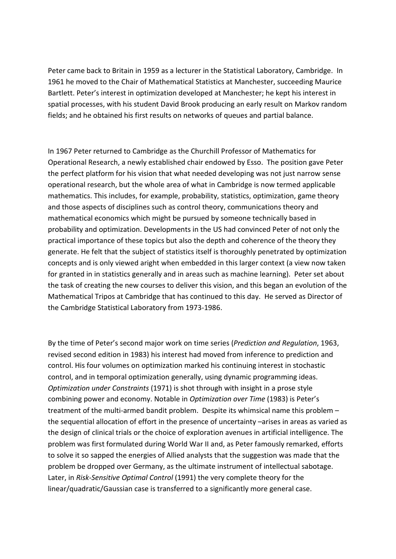Peter came back to Britain in 1959 as a lecturer in the Statistical Laboratory, Cambridge. In 1961 he moved to the Chair of Mathematical Statistics at Manchester, succeeding Maurice Bartlett. Peter's interest in optimization developed at Manchester; he kept his interest in spatial processes, with his student David Brook producing an early result on Markov random fields; and he obtained his first results on networks of queues and partial balance.

In 1967 Peter returned to Cambridge as the Churchill Professor of Mathematics for Operational Research, a newly established chair endowed by Esso. The position gave Peter the perfect platform for his vision that what needed developing was not just narrow sense operational research, but the whole area of what in Cambridge is now termed applicable mathematics. This includes, for example, probability, statistics, optimization, game theory and those aspects of disciplines such as control theory, communications theory and mathematical economics which might be pursued by someone technically based in probability and optimization. Developments in the US had convinced Peter of not only the practical importance of these topics but also the depth and coherence of the theory they generate. He felt that the subject of statistics itself is thoroughly penetrated by optimization concepts and is only viewed aright when embedded in this larger context (a view now taken for granted in in statistics generally and in areas such as machine learning). Peter set about the task of creating the new courses to deliver this vision, and this began an evolution of the Mathematical Tripos at Cambridge that has continued to this day. He served as Director of the Cambridge Statistical Laboratory from 1973-1986.

By the time of Peter's second major work on time series (*Prediction and Regulation*, 1963, revised second edition in 1983) his interest had moved from inference to prediction and control. His four volumes on optimization marked his continuing interest in stochastic control, and in temporal optimization generally, using dynamic programming ideas. *Optimization under Constraints* (1971) is shot through with insight in a prose style combining power and economy. Notable in *Optimization over Time* (1983) is Peter's treatment of the multi-armed bandit problem. Despite its whimsical name this problem – the sequential allocation of effort in the presence of uncertainty –arises in areas as varied as the design of clinical trials or the choice of exploration avenues in artificial intelligence. The problem was first formulated during World War II and, as Peter famously remarked, efforts to solve it so sapped the energies of Allied analysts that the suggestion was made that the problem be dropped over Germany, as the ultimate instrument of intellectual sabotage. Later, in *Risk-Sensitive Optimal Control* (1991) the very complete theory for the linear/quadratic/Gaussian case is transferred to a significantly more general case.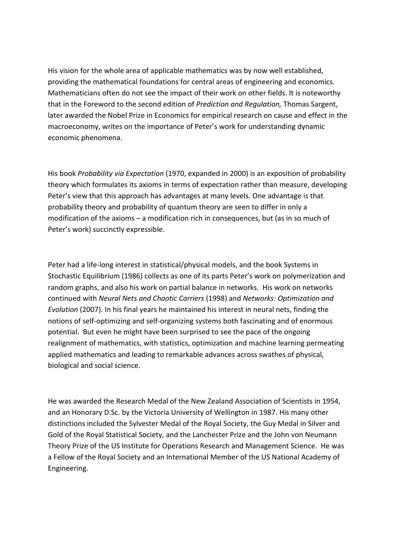His vision for the whole area of applicable mathematics was by now well established, providing the mathematical foundations for central areas of engineering and economics. Mathematicians often do not see the impact of their work on other fields. It is noteworthy that in the Foreword to the second edition of *Prediction and Regulation,* Thomas Sargent, later awarded the Nobel Prize in Economics for empirical research on cause and effect in the macroeconomy, writes on the importance of Peter's work for understanding dynamic economic phenomena.

His book *Probability via Expectation* (1970, expanded in 2000) is an exposition of probability theory which formulates its axioms in terms of expectation rather than measure, developing Peter's view that this approach has advantages at many levels. One advantage is that probability theory and probability of quantum theory are seen to differ in only a modification of the axioms – a modification rich in consequences, but (as in so much of Peter's work) succinctly expressible.

Peter had a life-long interest in statistical/physical models, and the book Systems in Stochastic Equilibrium (1986) collects as one of its parts Peter's work on polymerization and random graphs, and also his work on partial balance in networks. His work on networks continued with *Neural Nets and Chaotic Carriers* (1998) and *Networks: Optimization and Evolution* (2007). In his final years he maintained his interest in neural nets, finding the notions of self-optimizing and self-organizing systems both fascinating and of enormous potential. But even he might have been surprised to see the pace of the ongoing realignment of mathematics, with statistics, optimization and machine learning permeating applied mathematics and leading to remarkable advances across swathes of physical, biological and social science.

He was awarded the Research Medal of the New Zealand Association of Scientists in 1954, and an Honorary D.Sc. by the Victoria University of Wellington in 1987. His many other distinctions included the Sylvester Medal of the Royal Society, the Guy Medal in Silver and Gold of the Royal Statistical Society, and the Lanchester Prize and the John von Neumann Theory Prize of the US Institute for Operations Research and Management Science. He was a Fellow of the Royal Society and an International Member of the US National Academy of Engineering.